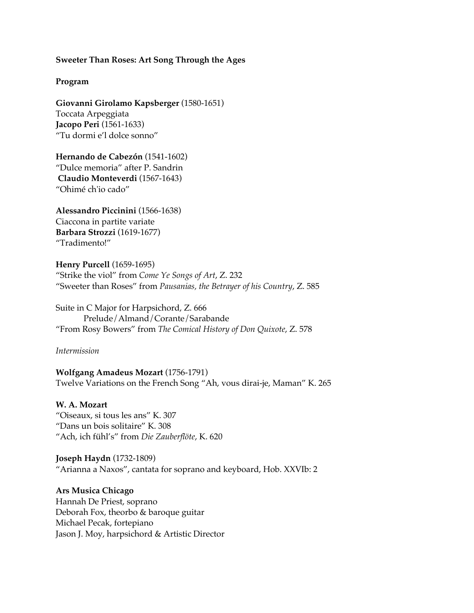### **Sweeter Than Roses: Art Song Through the Ages**

#### **Program**

**Giovanni Girolamo Kapsberger** (1580-1651) Toccata Arpeggiata **Jacopo Peri** (1561-1633) "Tu dormi e'l dolce sonno"

**Hernando de Cabezón** (1541-1602) "Dulce memoria" after P. Sandrin **Claudio Monteverdi** (1567-1643) "Ohimé ch'io cado"

**Alessandro Piccinini** (1566-1638) Ciaccona in partite variate **Barbara Strozzi** (1619-1677) "Tradimento!"

**Henry Purcell** (1659-1695) "Strike the viol" from *Come Ye Songs of Art*, Z. 232 "Sweeter than Roses" from *Pausanias, the Betrayer of his Country*, Z. 585

Suite in C Major for Harpsichord, Z. 666 Prelude/Almand/Corante/Sarabande "From Rosy Bowers" from *The Comical History of Don Quixote*, Z. 578

*Intermission*

**Wolfgang Amadeus Mozart** (1756-1791) Twelve Variations on the French Song "Ah, vous dirai-je, Maman" K. 265

**W. A. Mozart**  "Oiseaux, si tous les ans" K. 307 "Dans un bois solitaire" K. 308 "Ach, ich fühl's" from *Die Zauberflöte*, K. 620

**Joseph Haydn** (1732-1809) "Arianna a Naxos", cantata for soprano and keyboard, Hob. XXVIb: 2

**Ars Musica Chicago**

Hannah De Priest, soprano Deborah Fox, theorbo & baroque guitar Michael Pecak, fortepiano Jason J. Moy, harpsichord & Artistic Director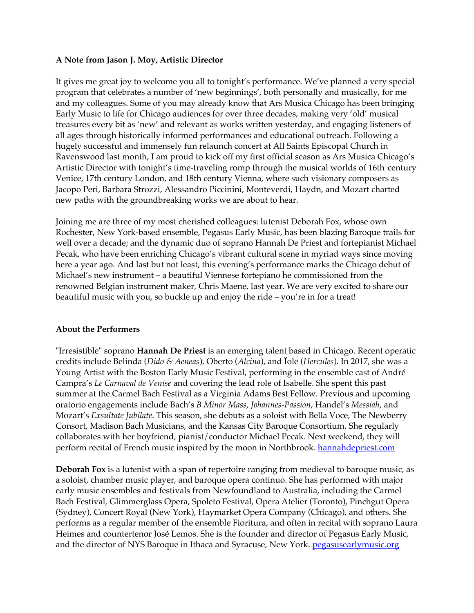# **A Note from Jason J. Moy, Artistic Director**

It gives me great joy to welcome you all to tonight's performance. We've planned a very special program that celebrates a number of 'new beginnings', both personally and musically, for me and my colleagues. Some of you may already know that Ars Musica Chicago has been bringing Early Music to life for Chicago audiences for over three decades, making very 'old' musical treasures every bit as 'new' and relevant as works written yesterday, and engaging listeners of all ages through historically informed performances and educational outreach. Following a hugely successful and immensely fun relaunch concert at All Saints Episcopal Church in Ravenswood last month, I am proud to kick off my first official season as Ars Musica Chicago's Artistic Director with tonight's time-traveling romp through the musical worlds of 16th century Venice, 17th century London, and 18th century Vienna, where such visionary composers as Jacopo Peri, Barbara Strozzi, Alessandro Piccinini, Monteverdi, Haydn, and Mozart charted new paths with the groundbreaking works we are about to hear.

Joining me are three of my most cherished colleagues: lutenist Deborah Fox, whose own Rochester, New York-based ensemble, Pegasus Early Music, has been blazing Baroque trails for well over a decade; and the dynamic duo of soprano Hannah De Priest and fortepianist Michael Pecak, who have been enriching Chicago's vibrant cultural scene in myriad ways since moving here a year ago. And last but not least, this evening's performance marks the Chicago debut of Michael's new instrument – a beautiful Viennese fortepiano he commissioned from the renowned Belgian instrument maker*,* Chris Maene, last year. We are very excited to share our beautiful music with you, so buckle up and enjoy the ride – you're in for a treat!

### **About the Performers**

"Irresistible" soprano **Hannah De Priest** is an emerging talent based in Chicago. Recent operatic credits include Belinda (*Dido & Aeneas*), Oberto (*Alcina*), and Ïole (*Hercules*). In 2017, she was a Young Artist with the Boston Early Music Festival, performing in the ensemble cast of André Campra's *Le Carnaval de Venise* and covering the lead role of Isabelle. She spent this past summer at the Carmel Bach Festival as a Virginia Adams Best Fellow. Previous and upcoming oratorio engagements include Bach's *B Minor Mass*, *Johannes-Passion*, Handel's *Messiah*, and Mozart's *Exsultate Jubilate*. This season, she debuts as a soloist with Bella Voce, The Newberry Consort, Madison Bach Musicians, and the Kansas City Baroque Consortium. She regularly collaborates with her boyfriend, pianist/conductor Michael Pecak. Next weekend, they will perform recital of French music inspired by the moon in Northbrook. hannahdepriest.com

**Deborah Fox** is a lutenist with a span of repertoire ranging from medieval to baroque music, as a soloist, chamber music player, and baroque opera continuo. She has performed with major early music ensembles and festivals from Newfoundland to Australia, including the Carmel Bach Festival, Glimmerglass Opera, Spoleto Festival, Opera Atelier (Toronto), Pinchgut Opera (Sydney), Concert Royal (New York), Haymarket Opera Company (Chicago), and others. She performs as a regular member of the ensemble Fioritura, and often in recital with soprano Laura Heimes and countertenor José Lemos. She is the founder and director of Pegasus Early Music, and the director of NYS Baroque in Ithaca and Syracuse, New York. pegasusearlymusic.org